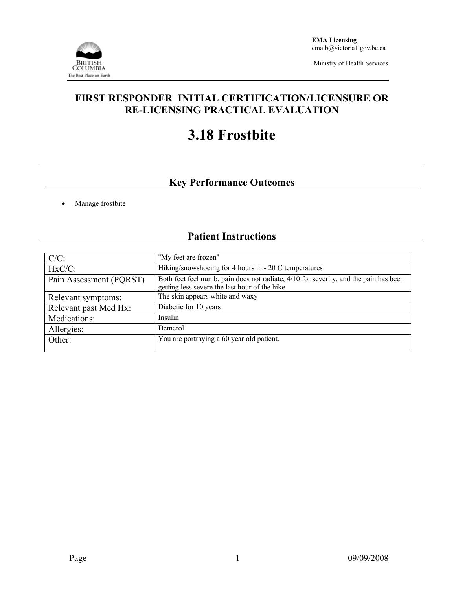

Ministry of Health Services

### **FIRST RESPONDER INITIAL CERTIFICATION/LICENSURE OR RE-LICENSING PRACTICAL EVALUATION**

# **3.18 Frostbite**

## **Key Performance Outcomes**

• Manage frostbite

## **Patient Instructions**

| $C/C$ :                 | "My feet are frozen"                                                                                                                  |  |  |
|-------------------------|---------------------------------------------------------------------------------------------------------------------------------------|--|--|
| $HxC/C$ :               | Hiking/snowshoeing for 4 hours in - 20 C temperatures                                                                                 |  |  |
| Pain Assessment (PQRST) | Both feet feel numb, pain does not radiate, 4/10 for severity, and the pain has been<br>getting less severe the last hour of the hike |  |  |
| Relevant symptoms:      | The skin appears white and waxy                                                                                                       |  |  |
| Relevant past Med Hx:   | Diabetic for 10 years                                                                                                                 |  |  |
| Medications:            | Insulin                                                                                                                               |  |  |
| Allergies:              | Demerol                                                                                                                               |  |  |
| Other:                  | You are portraying a 60 year old patient.                                                                                             |  |  |